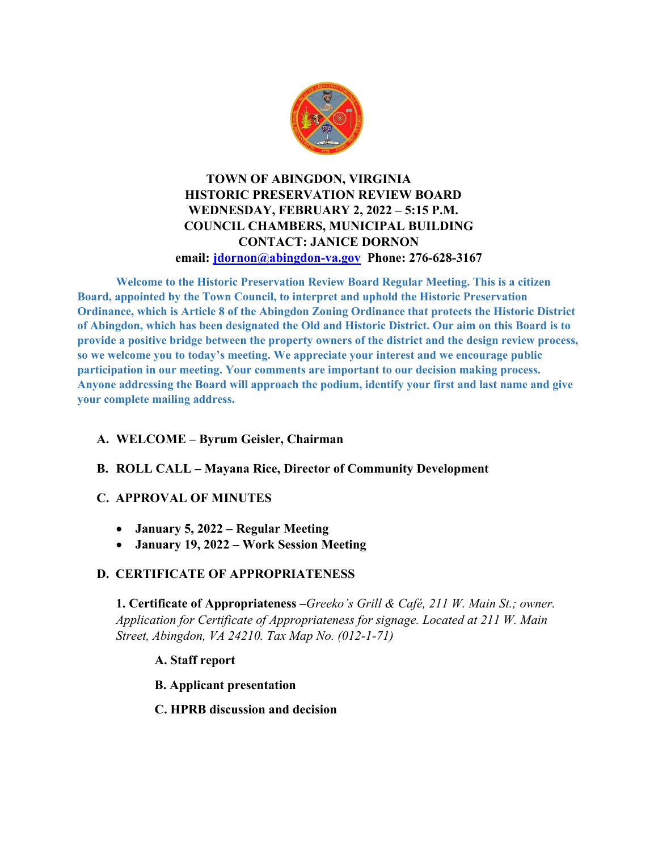

### **TOWN OF ABINGDON, VIRGINIA HISTORIC PRESERVATION REVIEW BOARD WEDNESDAY, FEBRUARY 2, 2022 – 5:15 P.M. COUNCIL CHAMBERS, MUNICIPAL BUILDING CONTACT: JANICE DORNON email: [jdornon@abingdon-va.gov](mailto:jdornon@abingdon-va.gov) Phone: 276-628-3167**

**Welcome to the Historic Preservation Review Board Regular Meeting. This is a citizen Board, appointed by the Town Council, to interpret and uphold the Historic Preservation Ordinance, which is Article 8 of the Abingdon Zoning Ordinance that protects the Historic District of Abingdon, which has been designated the Old and Historic District. Our aim on this Board is to provide a positive bridge between the property owners of the district and the design review process, so we welcome you to today's meeting. We appreciate your interest and we encourage public participation in our meeting. Your comments are important to our decision making process. Anyone addressing the Board will approach the podium, identify your first and last name and give your complete mailing address.** 

# **A. WELCOME – Byrum Geisler, Chairman**

**B. ROLL CALL – Mayana Rice, Director of Community Development**

#### **C. APPROVAL OF MINUTES**

- **January 5, 2022 – Regular Meeting**
- **January 19, 2022 – Work Session Meeting**

#### **D. CERTIFICATE OF APPROPRIATENESS**

**1. Certificate of Appropriateness –***Greeko's Grill & Café, 211 W. Main St.; owner. Application for Certificate of Appropriateness for signage. Located at 211 W. Main Street, Abingdon, VA 24210. Tax Map No. (012-1-71)*

#### **A. Staff report**

**B. Applicant presentation** 

#### **C. HPRB discussion and decision**